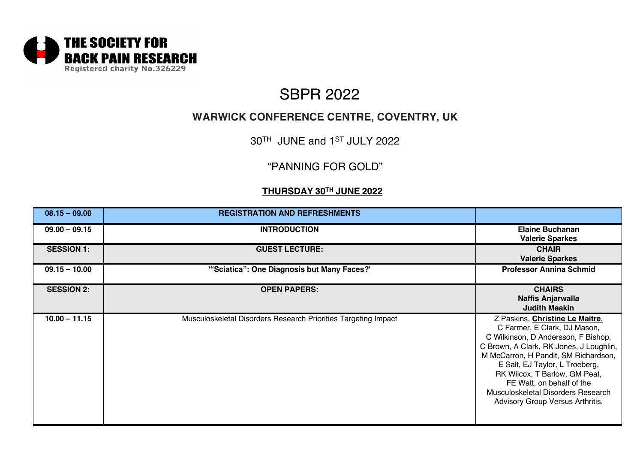

# **WARWICK CONFERENCE CENTRE, COVENTRY, UK**

30TH JUNE and 1ST JULY 2022

## "PANNING FOR GOLD"

### **THURSDAY 30TH JUNE 2022**

| $08.15 - 09.00$   | <b>REGISTRATION AND REFRESHMENTS</b>                           |                                                                                                                                                                                                                                                                                                                                                                     |
|-------------------|----------------------------------------------------------------|---------------------------------------------------------------------------------------------------------------------------------------------------------------------------------------------------------------------------------------------------------------------------------------------------------------------------------------------------------------------|
| $09.00 - 09.15$   | <b>INTRODUCTION</b>                                            | <b>Elaine Buchanan</b><br><b>Valerie Sparkes</b>                                                                                                                                                                                                                                                                                                                    |
| <b>SESSION 1:</b> | <b>GUEST LECTURE:</b>                                          | <b>CHAIR</b><br><b>Valerie Sparkes</b>                                                                                                                                                                                                                                                                                                                              |
| $09.15 - 10.00$   | "Sciatica": One Diagnosis but Many Faces?"                     | <b>Professor Annina Schmid</b>                                                                                                                                                                                                                                                                                                                                      |
| <b>SESSION 2:</b> | <b>OPEN PAPERS:</b>                                            | <b>CHAIRS</b><br>Naffis Anjarwalla<br><b>Judith Meakin</b>                                                                                                                                                                                                                                                                                                          |
| $10.00 - 11.15$   | Musculoskeletal Disorders Research Priorities Targeting Impact | Z Paskins, Christine Le Maitre,<br>C Farmer, E Clark, DJ Mason,<br>C Wilkinson, D Andersson, F Bishop,<br>C Brown, A Clark, RK Jones, J Loughlin,<br>M McCarron, H Pandit, SM Richardson,<br>E Salt, EJ Taylor, L Troeberg,<br>RK Wilcox, T Barlow, GM Peat,<br>FE Watt, on behalf of the<br>Musculoskeletal Disorders Research<br>Advisory Group Versus Arthritis. |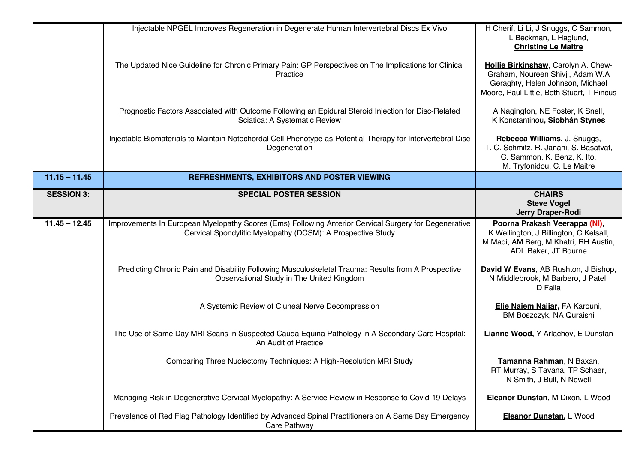|                   | Injectable NPGEL Improves Regeneration in Degenerate Human Intervertebral Discs Ex Vivo                                                                              | H Cherif, Li Li, J Snuggs, C Sammon,<br>L Beckman, L Haglund,<br><b>Christine Le Maitre</b>                                                              |
|-------------------|----------------------------------------------------------------------------------------------------------------------------------------------------------------------|----------------------------------------------------------------------------------------------------------------------------------------------------------|
|                   | The Updated Nice Guideline for Chronic Primary Pain: GP Perspectives on The Implications for Clinical<br>Practice                                                    | Hollie Birkinshaw, Carolyn A. Chew-<br>Graham, Noureen Shivji, Adam W.A<br>Geraghty, Helen Johnson, Michael<br>Moore, Paul Little, Beth Stuart, T Pincus |
|                   | Prognostic Factors Associated with Outcome Following an Epidural Steroid Injection for Disc-Related<br>Sciatica: A Systematic Review                                 | A Nagington, NE Foster, K Snell,<br>K Konstantinou, Siobhán Stynes                                                                                       |
|                   | Injectable Biomaterials to Maintain Notochordal Cell Phenotype as Potential Therapy for Intervertebral Disc<br>Degeneration                                          | Rebecca Williams, J. Snuggs,<br>T. C. Schmitz, R. Janani, S. Basatvat,<br>C. Sammon, K. Benz, K. Ito,<br>M. Tryfonidou, C. Le Maitre                     |
| $11.15 - 11.45$   | REFRESHMENTS, EXHIBITORS AND POSTER VIEWING                                                                                                                          |                                                                                                                                                          |
| <b>SESSION 3:</b> | <b>SPECIAL POSTER SESSION</b>                                                                                                                                        | <b>CHAIRS</b><br><b>Steve Vogel</b><br>Jerry Draper-Rodi                                                                                                 |
| $11.45 - 12.45$   | Improvements In European Myelopathy Scores (Ems) Following Anterior Cervical Surgery for Degenerative<br>Cervical Spondylitic Myelopathy (DCSM): A Prospective Study | Poorna Prakash Veerappa (NI).<br>K Wellington, J Billington, C Kelsall,<br>M Madi, AM Berg, M Khatri, RH Austin,<br>ADL Baker, JT Bourne                 |
|                   | Predicting Chronic Pain and Disability Following Musculoskeletal Trauma: Results from A Prospective<br>Observational Study in The United Kingdom                     | David W Evans, AB Rushton, J Bishop,<br>N Middlebrook, M Barbero, J Patel,<br>D Falla                                                                    |
|                   | A Systemic Review of Cluneal Nerve Decompression                                                                                                                     | Elie Najem Najjar, FA Karouni,<br>BM Boszczyk, NA Quraishi                                                                                               |
|                   | The Use of Same Day MRI Scans in Suspected Cauda Equina Pathology in A Secondary Care Hospital:<br>An Audit of Practice                                              | Lianne Wood, Y Arlachov, E Dunstan                                                                                                                       |
|                   | Comparing Three Nuclectomy Techniques: A High-Resolution MRI Study                                                                                                   | Tamanna Rahman, N Baxan,<br>RT Murray, S Tavana, TP Schaer,<br>N Smith, J Bull, N Newell                                                                 |
|                   | Managing Risk in Degenerative Cervical Myelopathy: A Service Review in Response to Covid-19 Delays                                                                   | Eleanor Dunstan, M Dixon, L Wood                                                                                                                         |
|                   | Prevalence of Red Flag Pathology Identified by Advanced Spinal Practitioners on A Same Day Emergency<br>Care Pathway                                                 | Eleanor Dunstan, L Wood                                                                                                                                  |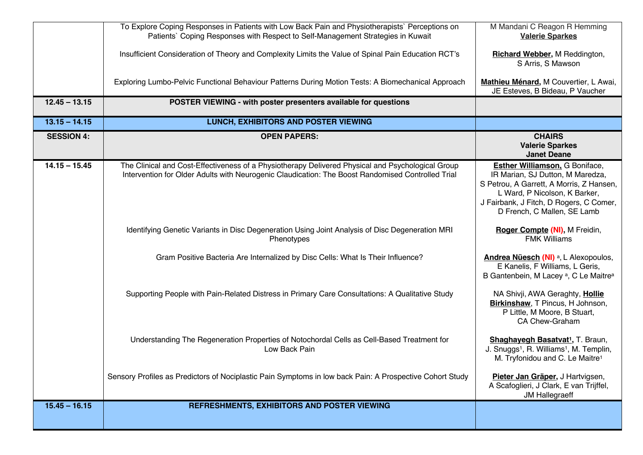|                   | To Explore Coping Responses in Patients with Low Back Pain and Physiotherapists` Perceptions on<br>Patients' Coping Responses with Respect to Self-Management Strategies in Kuwait                     | M Mandani C Reagon R Hemming<br><b>Valerie Sparkes</b>                                                                                                                                                                           |
|-------------------|--------------------------------------------------------------------------------------------------------------------------------------------------------------------------------------------------------|----------------------------------------------------------------------------------------------------------------------------------------------------------------------------------------------------------------------------------|
|                   | Insufficient Consideration of Theory and Complexity Limits the Value of Spinal Pain Education RCT's                                                                                                    | Richard Webber, M Reddington,<br>S Arris, S Mawson                                                                                                                                                                               |
|                   | Exploring Lumbo-Pelvic Functional Behaviour Patterns During Motion Tests: A Biomechanical Approach                                                                                                     | Mathieu Ménard, M Couvertier, L Awai,<br>JE Esteves, B Bideau, P Vaucher                                                                                                                                                         |
| $12.45 - 13.15$   | POSTER VIEWING - with poster presenters available for questions                                                                                                                                        |                                                                                                                                                                                                                                  |
| $13.15 - 14.15$   | <b>LUNCH, EXHIBITORS AND POSTER VIEWING</b>                                                                                                                                                            |                                                                                                                                                                                                                                  |
| <b>SESSION 4:</b> | <b>OPEN PAPERS:</b>                                                                                                                                                                                    | <b>CHAIRS</b><br><b>Valerie Sparkes</b><br><b>Janet Deane</b>                                                                                                                                                                    |
| $14.15 - 15.45$   | The Clinical and Cost-Effectiveness of a Physiotherapy Delivered Physical and Psychological Group<br>Intervention for Older Adults with Neurogenic Claudication: The Boost Randomised Controlled Trial | <b>Esther Williamson.</b> G Boniface,<br>IR Marian, SJ Dutton, M Maredza,<br>S Petrou, A Garrett, A Morris, Z Hansen,<br>L Ward, P Nicolson, K Barker,<br>J Fairbank, J Fitch, D Rogers, C Comer,<br>D French, C Mallen, SE Lamb |
|                   | Identifying Genetic Variants in Disc Degeneration Using Joint Analysis of Disc Degeneration MRI<br>Phenotypes                                                                                          | Roger Compte (NI), M Freidin,<br><b>FMK Williams</b>                                                                                                                                                                             |
|                   | Gram Positive Bacteria Are Internalized by Disc Cells: What Is Their Influence?                                                                                                                        | Andrea Nüesch (NI) <sup>a</sup> , L Alexopoulos,<br>E Kanelis, F Williams, L Geris,<br>B Gantenbein, M Lacey <sup>a</sup> , C Le Maitre <sup>a</sup>                                                                             |
|                   | Supporting People with Pain-Related Distress in Primary Care Consultations: A Qualitative Study                                                                                                        | NA Shivji, AWA Geraghty, Hollie<br>Birkinshaw, T Pincus, H Johnson,<br>P Little, M Moore, B Stuart,<br>CA Chew-Graham                                                                                                            |
|                   | Understanding The Regeneration Properties of Notochordal Cells as Cell-Based Treatment for<br>Low Back Pain                                                                                            | Shaghayegh Basatvat <sup>1</sup> , T. Braun,<br>J. Snuggs <sup>1</sup> , R. Williams <sup>1</sup> , M. Templin,<br>M. Tryfonidou and C. Le Maitre <sup>1</sup>                                                                   |
|                   | Sensory Profiles as Predictors of Nociplastic Pain Symptoms in low back Pain: A Prospective Cohort Study                                                                                               | Pieter Jan Gräper, J Hartvigsen,<br>A Scafoglieri, J Clark, E van Trijffel,<br><b>JM Hallegraeff</b>                                                                                                                             |
| $15.45 - 16.15$   | REFRESHMENTS, EXHIBITORS AND POSTER VIEWING                                                                                                                                                            |                                                                                                                                                                                                                                  |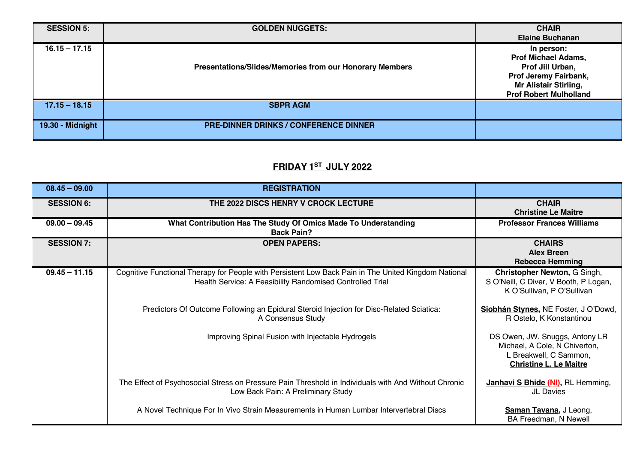| <b>SESSION 5:</b> | <b>GOLDEN NUGGETS:</b>                                  | <b>CHAIR</b><br><b>Elaine Buchanan</b>                                                                                                                 |
|-------------------|---------------------------------------------------------|--------------------------------------------------------------------------------------------------------------------------------------------------------|
| $16.15 - 17.15$   | Presentations/Slides/Memories from our Honorary Members | In person:<br><b>Prof Michael Adams,</b><br>Prof Jill Urban,<br>Prof Jeremy Fairbank,<br><b>Mr Alistair Stirling,</b><br><b>Prof Robert Mulholland</b> |
| $17.15 - 18.15$   | <b>SBPR AGM</b>                                         |                                                                                                                                                        |
| 19.30 - Midnight  | <b>PRE-DINNER DRINKS / CONFERENCE DINNER</b>            |                                                                                                                                                        |

## **FRIDAY 1ST JULY 2022**

| $08.45 - 09.00$   | <b>REGISTRATION</b>                                                                                                                                               |                                                                                                                            |
|-------------------|-------------------------------------------------------------------------------------------------------------------------------------------------------------------|----------------------------------------------------------------------------------------------------------------------------|
| <b>SESSION 6:</b> | THE 2022 DISCS HENRY V CROCK LECTURE                                                                                                                              | <b>CHAIR</b><br><b>Christine Le Maitre</b>                                                                                 |
| $09.00 - 09.45$   | What Contribution Has The Study Of Omics Made To Understanding<br><b>Back Pain?</b>                                                                               | <b>Professor Frances Williams</b>                                                                                          |
| <b>SESSION 7:</b> | <b>OPEN PAPERS:</b>                                                                                                                                               | <b>CHAIRS</b><br><b>Alex Breen</b><br><b>Rebecca Hemming</b>                                                               |
| $09.45 - 11.15$   | Cognitive Functional Therapy for People with Persistent Low Back Pain in The United Kingdom National<br>Health Service: A Feasibility Randomised Controlled Trial | <b>Christopher Newton, G Singh,</b><br>S O'Neill, C Diver, V Booth, P Logan,<br>K O'Sullivan, P O'Sullivan                 |
|                   | Predictors Of Outcome Following an Epidural Steroid Injection for Disc-Related Sciatica:<br>A Consensus Study                                                     | Siobhán Stynes, NE Foster, J O'Dowd,<br>R Ostelo, K Konstantinou                                                           |
|                   | Improving Spinal Fusion with Injectable Hydrogels                                                                                                                 | DS Owen, JW. Snuggs, Antony LR<br>Michael, A Cole, N Chiverton,<br>L Breakwell, C Sammon,<br><b>Christine L. Le Maitre</b> |
|                   | The Effect of Psychosocial Stress on Pressure Pain Threshold in Individuals with And Without Chronic<br>Low Back Pain: A Preliminary Study                        | <b>Janhavi S Bhide (NI)</b> , RL Hemming,<br>JL Davies                                                                     |
|                   | A Novel Technique For In Vivo Strain Measurements in Human Lumbar Intervertebral Discs                                                                            | Saman Tavana, J Leong,<br>BA Freedman, N Newell                                                                            |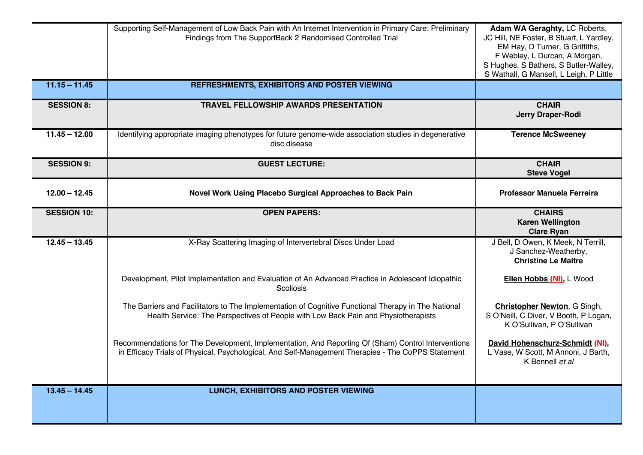|                    | Supporting Self-Management of Low Back Pain with An Internet Intervention in Primary Care: Preliminary<br>Findings from The SupportBack 2 Randomised Controlled Trial                                    | Adam WA Geraghty, LC Roberts,<br>JC Hill, NE Foster, B Stuart, L Yardley,<br>EM Hay, D Turner, G Griffiths,<br>F Webley, L Durcan, A Morgan,<br>S Hughes, S Bathers, S Butler-Walley,<br>S Wathall, G Mansell, L Leigh, P Little |
|--------------------|----------------------------------------------------------------------------------------------------------------------------------------------------------------------------------------------------------|----------------------------------------------------------------------------------------------------------------------------------------------------------------------------------------------------------------------------------|
| $11.15 - 11.45$    | REFRESHMENTS, EXHIBITORS AND POSTER VIEWING                                                                                                                                                              |                                                                                                                                                                                                                                  |
| <b>SESSION 8:</b>  | <b>TRAVEL FELLOWSHIP AWARDS PRESENTATION</b>                                                                                                                                                             | <b>CHAIR</b><br>Jerry Draper-Rodi                                                                                                                                                                                                |
| $11.45 - 12.00$    | Identifying appropriate imaging phenotypes for future genome-wide association studies in degenerative<br>disc disease                                                                                    | <b>Terence McSweeney</b>                                                                                                                                                                                                         |
| <b>SESSION 9:</b>  | <b>GUEST LECTURE:</b>                                                                                                                                                                                    | <b>CHAIR</b><br><b>Steve Vogel</b>                                                                                                                                                                                               |
| $12.00 - 12.45$    | Novel Work Using Placebo Surgical Approaches to Back Pain                                                                                                                                                | <b>Professor Manuela Ferreira</b>                                                                                                                                                                                                |
| <b>SESSION 10:</b> | <b>OPEN PAPERS:</b>                                                                                                                                                                                      | <b>CHAIRS</b><br><b>Karen Wellington</b><br><b>Clare Ryan</b>                                                                                                                                                                    |
| $12.45 - 13.45$    | X-Ray Scattering Imaging of Intervertebral Discs Under Load                                                                                                                                              | J Bell, D Owen, K Meek, N Terrill,<br>J Sanchez-Weatherby,<br><b>Christine Le Maitre</b>                                                                                                                                         |
|                    | Development, Pilot Implementation and Evaluation of An Advanced Practice in Adolescent Idiopathic<br>Scoliosis                                                                                           | Ellen Hobbs (NI), L Wood                                                                                                                                                                                                         |
|                    |                                                                                                                                                                                                          |                                                                                                                                                                                                                                  |
|                    | The Barriers and Facilitators to The Implementation of Cognitive Functional Therapy in The National<br>Health Service: The Perspectives of People with Low Back Pain and Physiotherapists                | <b>Christopher Newton, G Singh,</b><br>S O'Neill, C Diver, V Booth, P Logan,<br>K O'Sullivan, P O'Sullivan                                                                                                                       |
|                    | Recommendations for The Development, Implementation, And Reporting Of (Sham) Control Interventions<br>in Efficacy Trials of Physical, Psychological, And Self-Management Therapies - The CoPPS Statement | David Hohenschurz-Schmidt (NI),<br>L Vase, W Scott, M Annoni, J Barth,<br>K Bennell et al                                                                                                                                        |
| $13.45 - 14.45$    | LUNCH, EXHIBITORS AND POSTER VIEWING                                                                                                                                                                     |                                                                                                                                                                                                                                  |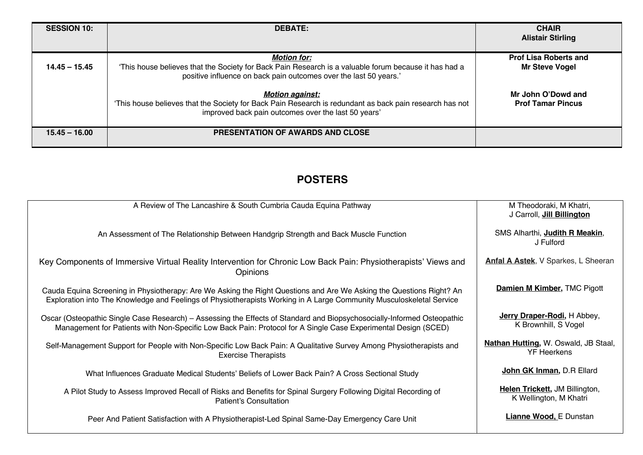| <b>SESSION 10:</b> | <b>DEBATE:</b>                                                                                                                                                                          | <b>CHAIR</b><br><b>Alistair Stirling</b>       |
|--------------------|-----------------------------------------------------------------------------------------------------------------------------------------------------------------------------------------|------------------------------------------------|
|                    | <b>Motion for:</b>                                                                                                                                                                      | <b>Prof Lisa Roberts and</b>                   |
| $14.45 - 15.45$    | This house believes that the Society for Back Pain Research is a valuable forum because it has had a<br>positive influence on back pain outcomes over the last 50 years.'               | <b>Mr Steve Vogel</b>                          |
|                    | <b>Motion against:</b><br>This house believes that the Society for Back Pain Research is redundant as back pain research has not<br>improved back pain outcomes over the last 50 years' | Mr John O'Dowd and<br><b>Prof Tamar Pincus</b> |
| $15.45 - 16.00$    | <b>PRESENTATION OF AWARDS AND CLOSE</b>                                                                                                                                                 |                                                |

# **POSTERS**

| A Review of The Lancashire & South Cumbria Cauda Equina Pathway                                                                                                                                                                              | M Theodoraki, M Khatri,<br>J Carroll, Jill Billington             |
|----------------------------------------------------------------------------------------------------------------------------------------------------------------------------------------------------------------------------------------------|-------------------------------------------------------------------|
| An Assessment of The Relationship Between Handgrip Strength and Back Muscle Function                                                                                                                                                         | SMS Alharthi, Judith R Meakin,<br>J Fulford                       |
| Key Components of Immersive Virtual Reality Intervention for Chronic Low Back Pain: Physiotherapists' Views and<br><b>Opinions</b>                                                                                                           | Anfal A Astek, V Sparkes, L Sheeran                               |
| Cauda Equina Screening in Physiotherapy: Are We Asking the Right Questions and Are We Asking the Questions Right? An<br>Exploration into The Knowledge and Feelings of Physiotherapists Working in A Large Community Musculoskeletal Service | <b>Damien M Kimber, TMC Pigott</b>                                |
| Oscar (Osteopathic Single Case Research) – Assessing the Effects of Standard and Biopsychosocially-Informed Osteopathic<br>Management for Patients with Non-Specific Low Back Pain: Protocol for A Single Case Experimental Design (SCED)    | Jerry Draper-Rodi, H Abbey,<br>K Brownhill, S Vogel               |
| Self-Management Support for People with Non-Specific Low Back Pain: A Qualitative Survey Among Physiotherapists and<br><b>Exercise Therapists</b>                                                                                            | <b>Nathan Hutting, W. Oswald, JB Staal,</b><br><b>YF Heerkens</b> |
| What Influences Graduate Medical Students' Beliefs of Lower Back Pain? A Cross Sectional Study                                                                                                                                               | John GK Inman, D.R Ellard                                         |
| A Pilot Study to Assess Improved Recall of Risks and Benefits for Spinal Surgery Following Digital Recording of<br><b>Patient's Consultation</b>                                                                                             | <b>Helen Trickett</b> , JM Billington,<br>K Wellington, M Khatri  |
| Peer And Patient Satisfaction with A Physiotherapist-Led Spinal Same-Day Emergency Care Unit                                                                                                                                                 | <b>Lianne Wood, E Dunstan</b>                                     |